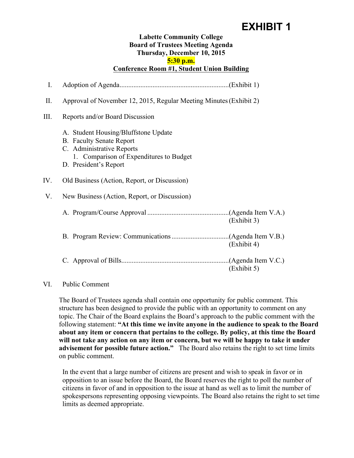## **EXHIBIT 1**

## **Labette Community College Board of Trustees Meeting Agenda Thursday, December 10, 2015 5:30 p.m. Conference Room #1, Student Union Building**

I. Adoption of Agenda...............................................................(Exhibit 1) II. Approval of November 12, 2015, Regular Meeting Minutes(Exhibit 2) III. Reports and/or Board Discussion A. Student Housing/Bluffstone Update B. Faculty Senate Report C. Administrative Reports 1. Comparison of Expenditures to Budget D. President's Report IV. Old Business (Action, Report, or Discussion) V. New Business (Action, Report, or Discussion) A. Program/Course Approval ...............................................(Agenda Item V.A.) (Exhibit 3) B. Program Review: Communications.................................(Agenda Item V.B.) (Exhibit 4) C. Approval of Bills..............................................................(Agenda Item V.C.) (Exhibit 5)

## VI. Public Comment

The Board of Trustees agenda shall contain one opportunity for public comment. This structure has been designed to provide the public with an opportunity to comment on any topic. The Chair of the Board explains the Board's approach to the public comment with the following statement: **"At this time we invite anyone in the audience to speak to the Board about any item or concern that pertains to the college. By policy, at this time the Board will not take any action on any item or concern, but we will be happy to take it under advisement for possible future action."** The Board also retains the right to set time limits on public comment.

In the event that a large number of citizens are present and wish to speak in favor or in opposition to an issue before the Board, the Board reserves the right to poll the number of citizens in favor of and in opposition to the issue at hand as well as to limit the number of spokespersons representing opposing viewpoints. The Board also retains the right to set time limits as deemed appropriate.